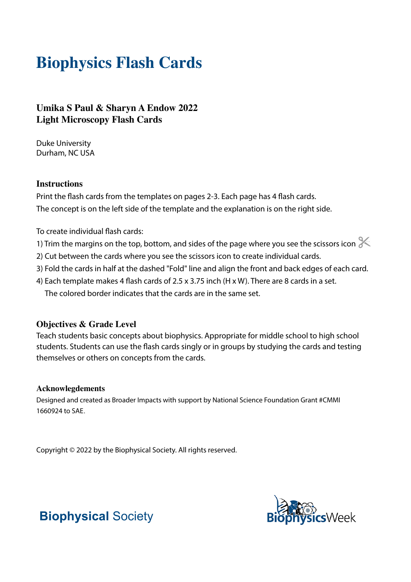# **Biophysics Flash Cards**

### **Umika S Paul & Sharyn A Endow 2022 Light Microscopy Flash Cards**

Duke University Durham, NC USA

#### **Instructions**

Print the flash cards from the templates on pages 2-3. Each page has 4 flash cards. The concept is on the left side of the template and the explanation is on the right side.

To create individual flash cards:

- 1) Trim the margins on the top, bottom, and sides of the page where you see the scissors icon  $\ll$
- 2) Cut between the cards where you see the scissors icon to create individual cards.
- 3) Fold the cards in half at the dashed "Fold" line and align the front and back edges of each card.
- 4) Each template makes 4 flash cards of 2.5 x 3.75 inch (H x W). There are 8 cards in a set. The colored border indicates that the cards are in the same set.

#### **Objectives & Grade Level**

Teach students basic concepts about biophysics. Appropriate for middle school to high school students. Students can use the flash cards singly or in groups by studying the cards and testing themselves or others on concepts from the cards.

#### **Acknowlegdements**

Designed and created as Broader Impacts with support by National Science Foundation Grant #CMMI 1660924 to SAE.

Copyright © 2022 by the Biophysical Society. All rights reserved.



## **Biophysical** Society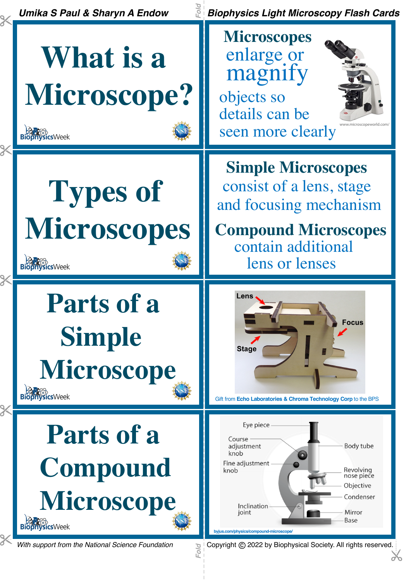